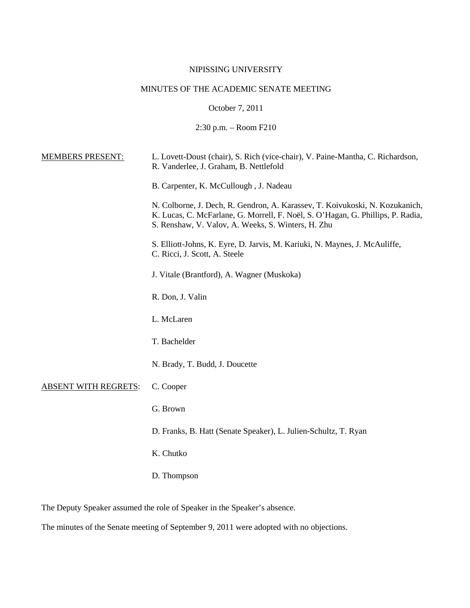# NIPISSING UNIVERSITY

## MINUTES OF THE ACADEMIC SENATE MEETING

October 7, 2011

2:30 p.m. – Room F210

| <b>MEMBERS PRESENT:</b>     | L. Lovett-Doust (chair), S. Rich (vice-chair), V. Paine-Mantha, C. Richardson,<br>R. Vanderlee, J. Graham, B. Nettlefold                                                                                              |
|-----------------------------|-----------------------------------------------------------------------------------------------------------------------------------------------------------------------------------------------------------------------|
|                             | B. Carpenter, K. McCullough, J. Nadeau                                                                                                                                                                                |
|                             | N. Colborne, J. Dech, R. Gendron, A. Karassev, T. Koivukoski, N. Kozukanich,<br>K. Lucas, C. McFarlane, G. Morrell, F. Noël, S. O'Hagan, G. Phillips, P. Radia,<br>S. Renshaw, V. Valov, A. Weeks, S. Winters, H. Zhu |
|                             | S. Elliott-Johns, K. Eyre, D. Jarvis, M. Kariuki, N. Maynes, J. McAuliffe,<br>C. Ricci, J. Scott, A. Steele                                                                                                           |
|                             | J. Vitale (Brantford), A. Wagner (Muskoka)                                                                                                                                                                            |
|                             | R. Don, J. Valin                                                                                                                                                                                                      |
|                             | L. McLaren                                                                                                                                                                                                            |
|                             | T. Bachelder                                                                                                                                                                                                          |
|                             | N. Brady, T. Budd, J. Doucette                                                                                                                                                                                        |
| <b>ABSENT WITH REGRETS:</b> | C. Cooper                                                                                                                                                                                                             |
|                             | G. Brown                                                                                                                                                                                                              |
|                             | D. Franks, B. Hatt (Senate Speaker), L. Julien-Schultz, T. Ryan                                                                                                                                                       |
|                             | K. Chutko                                                                                                                                                                                                             |
|                             | D. Thompson                                                                                                                                                                                                           |

The Deputy Speaker assumed the role of Speaker in the Speaker's absence.

The minutes of the Senate meeting of September 9, 2011 were adopted with no objections.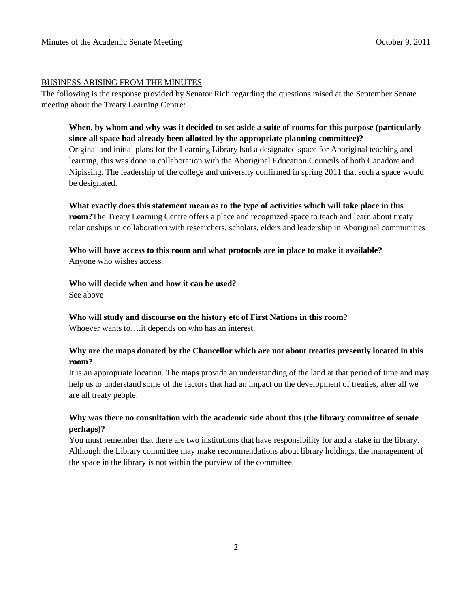#### BUSINESS ARISING FROM THE MINUTES

The following is the response provided by Senator Rich regarding the questions raised at the September Senate meeting about the Treaty Learning Centre:

# **When, by whom and why was it decided to set aside a suite of rooms for this purpose (particularly since all space had already been allotted by the appropriate planning committee)?**

Original and initial plans for the Learning Library had a designated space for Aboriginal teaching and learning, this was done in collaboration with the Aboriginal Education Councils of both Canadore and Nipissing. The leadership of the college and university confirmed in spring 2011 that such a space would be designated.

**What exactly does this statement mean as to the type of activities which will take place in this room?**The Treaty Learning Centre offers a place and recognized space to teach and learn about treaty relationships in collaboration with researchers, scholars, elders and leadership in Aboriginal communities

## **Who will have access to this room and what protocols are in place to make it available?** Anyone who wishes access.

## **Who will decide when and how it can be used?**

See above

# **Who will study and discourse on the history etc of First Nations in this room?**

Whoever wants to….it depends on who has an interest.

## **Why are the maps donated by the Chancellor which are not about treaties presently located in this room?**

It is an appropriate location. The maps provide an understanding of the land at that period of time and may help us to understand some of the factors that had an impact on the development of treaties, after all we are all treaty people.

## **Why was there no consultation with the academic side about this (the library committee of senate perhaps)?**

You must remember that there are two institutions that have responsibility for and a stake in the library. Although the Library committee may make recommendations about library holdings, the management of the space in the library is not within the purview of the committee.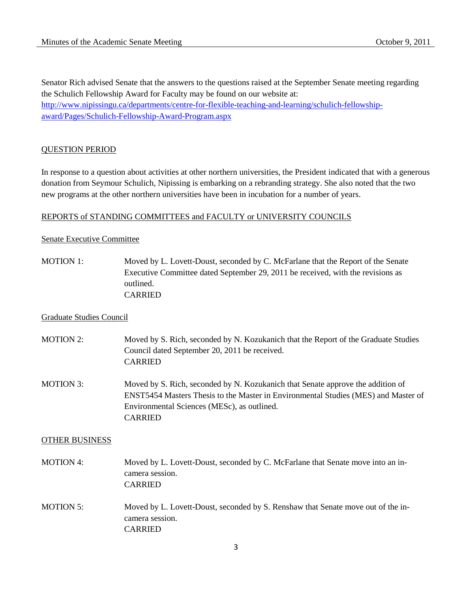Senator Rich advised Senate that the answers to the questions raised at the September Senate meeting regarding the Schulich Fellowship Award for Faculty may be found on our website at: [http://www.nipissingu.ca/departments/centre-for-flexible-teaching-and-learning/schulich-fellowship](http://www.nipissingu.ca/departments/centre-for-flexible-teaching-and-learning/schulich-fellowship-award/Pages/Schulich-Fellowship-Award-Program.aspx)[award/Pages/Schulich-Fellowship-Award-Program.aspx](http://www.nipissingu.ca/departments/centre-for-flexible-teaching-and-learning/schulich-fellowship-award/Pages/Schulich-Fellowship-Award-Program.aspx)

## QUESTION PERIOD

In response to a question about activities at other northern universities, the President indicated that with a generous donation from Seymour Schulich, Nipissing is embarking on a rebranding strategy. She also noted that the two new programs at the other northern universities have been in incubation for a number of years.

#### REPORTS of STANDING COMMITTEES and FACULTY or UNIVERSITY COUNCILS

#### Senate Executive Committee

MOTION 1: Moved by L. Lovett-Doust, seconded by C. McFarlane that the Report of the Senate Executive Committee dated September 29, 2011 be received, with the revisions as outlined. CARRIED

#### Graduate Studies Council

- MOTION 2: Moved by S. Rich, seconded by N. Kozukanich that the Report of the Graduate Studies Council dated September 20, 2011 be received. CARRIED MOTION 3: Moved by S. Rich, seconded by N. Kozukanich that Senate approve the addition of
- ENST5454 Masters Thesis to the Master in Environmental Studies (MES) and Master of Environmental Sciences (MESc), as outlined. CARRIED

### OTHER BUSINESS

- MOTION 4: Moved by L. Lovett-Doust, seconded by C. McFarlane that Senate move into an incamera session. CARRIED
- MOTION 5: Moved by L. Lovett-Doust, seconded by S. Renshaw that Senate move out of the incamera session. CARRIED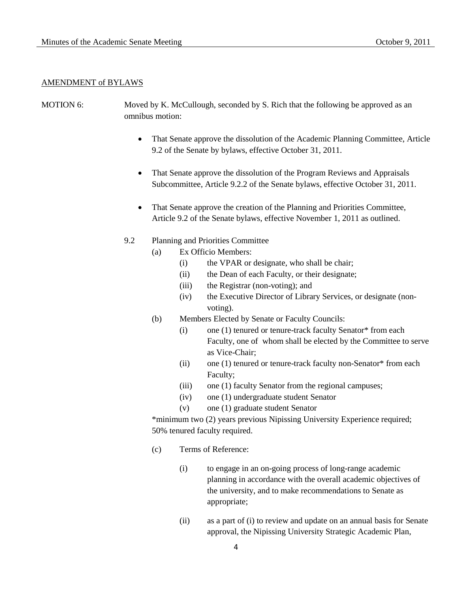#### AMENDMENT of BYLAWS

- MOTION 6: Moved by K. McCullough, seconded by S. Rich that the following be approved as an omnibus motion:
	- That Senate approve the dissolution of the Academic Planning Committee, Article 9.2 of the Senate by bylaws, effective October 31, 2011.
	- That Senate approve the dissolution of the Program Reviews and Appraisals Subcommittee, Article 9.2.2 of the Senate bylaws, effective October 31, 2011.
	- That Senate approve the creation of the Planning and Priorities Committee, Article 9.2 of the Senate bylaws, effective November 1, 2011 as outlined.
	- 9.2 Planning and Priorities Committee
		- (a) Ex Officio Members:
			- (i) the VPAR or designate, who shall be chair;
			- (ii) the Dean of each Faculty, or their designate;
			- (iii) the Registrar (non-voting); and
			- (iv) the Executive Director of Library Services, or designate (nonvoting).
		- (b) Members Elected by Senate or Faculty Councils:
			- (i) one (1) tenured or tenure-track faculty Senator\* from each Faculty, one of whom shall be elected by the Committee to serve as Vice-Chair;
			- (ii) one (1) tenured or tenure-track faculty non-Senator\* from each Faculty;
			- (iii) one (1) faculty Senator from the regional campuses;
			- (iv) one (1) undergraduate student Senator
			- (v) one (1) graduate student Senator

\*minimum two (2) years previous Nipissing University Experience required; 50% tenured faculty required.

- (c) Terms of Reference:
	- (i) to engage in an on-going process of long-range academic planning in accordance with the overall academic objectives of the university, and to make recommendations to Senate as appropriate;
	- (ii) as a part of (i) to review and update on an annual basis for Senate approval, the Nipissing University Strategic Academic Plan,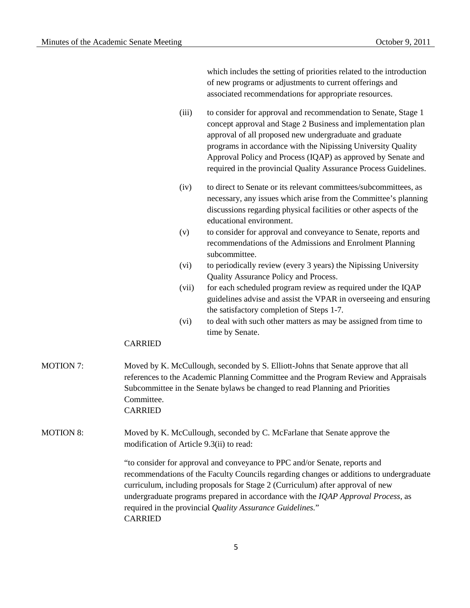which includes the setting of priorities related to the introduction of new programs or adjustments to current offerings and associated recommendations for appropriate resources.

(iii) to consider for approval and recommendation to Senate, Stage 1 concept approval and Stage 2 Business and implementation plan approval of all proposed new undergraduate and graduate programs in accordance with the Nipissing University Quality Approval Policy and Process (IQAP) as approved by Senate and required in the provincial Quality Assurance Process Guidelines.

- (iv) to direct to Senate or its relevant committees/subcommittees, as necessary, any issues which arise from the Committee's planning discussions regarding physical facilities or other aspects of the educational environment.
- (v) to consider for approval and conveyance to Senate, reports and recommendations of the Admissions and Enrolment Planning subcommittee.
- (vi) to periodically review (every 3 years) the Nipissing University Quality Assurance Policy and Process.
- (vii) for each scheduled program review as required under the IQAP guidelines advise and assist the VPAR in overseeing and ensuring the satisfactory completion of Steps 1-7.
- (vi) to deal with such other matters as may be assigned from time to time by Senate.

## CARRIED

- MOTION 7: Moved by K. McCullough, seconded by S. Elliott-Johns that Senate approve that all references to the Academic Planning Committee and the Program Review and Appraisals Subcommittee in the Senate bylaws be changed to read Planning and Priorities Committee. CARRIED
- MOTION 8: Moved by K. McCullough, seconded by C. McFarlane that Senate approve the modification of Article 9.3(ii) to read:

"to consider for approval and conveyance to PPC and/or Senate, reports and recommendations of the Faculty Councils regarding changes or additions to undergraduate curriculum, including proposals for Stage 2 (Curriculum) after approval of new undergraduate programs prepared in accordance with the *IQAP Approval Process*, as required in the provincial *Quality Assurance Guidelines.*" CARRIED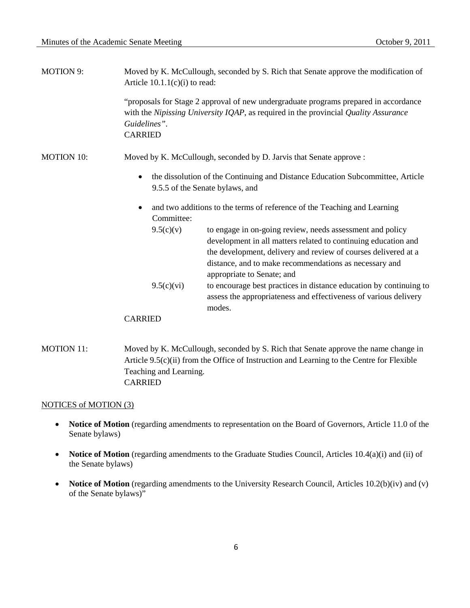| <b>MOTION 9:</b>  | Moved by K. McCullough, seconded by S. Rich that Senate approve the modification of<br>Article $10.1.1(c)(i)$ to read:                                                                                                                                                                             |
|-------------------|----------------------------------------------------------------------------------------------------------------------------------------------------------------------------------------------------------------------------------------------------------------------------------------------------|
|                   | "proposals for Stage 2 approval of new undergraduate programs prepared in accordance<br>with the Nipissing University IQAP, as required in the provincial Quality Assurance<br>Guidelines".<br><b>CARRIED</b>                                                                                      |
| <b>MOTION 10:</b> | Moved by K. McCullough, seconded by D. Jarvis that Senate approve :                                                                                                                                                                                                                                |
|                   | the dissolution of the Continuing and Distance Education Subcommittee, Article<br>9.5.5 of the Senate bylaws, and                                                                                                                                                                                  |
|                   | and two additions to the terms of reference of the Teaching and Learning<br>Committee:                                                                                                                                                                                                             |
|                   | to engage in on-going review, needs assessment and policy<br>9.5(c)(v)<br>development in all matters related to continuing education and<br>the development, delivery and review of courses delivered at a<br>distance, and to make recommendations as necessary and<br>appropriate to Senate; and |
|                   | to encourage best practices in distance education by continuing to<br>9.5(c)(vi)<br>assess the appropriateness and effectiveness of various delivery<br>modes.                                                                                                                                     |
|                   | <b>CARRIED</b>                                                                                                                                                                                                                                                                                     |

MOTION 11: Moved by K. McCullough, seconded by S. Rich that Senate approve the name change in Article 9.5(c)(ii) from the Office of Instruction and Learning to the Centre for Flexible Teaching and Learning. CARRIED

## NOTICES of MOTION (3)

- **Notice of Motion** (regarding amendments to representation on the Board of Governors, Article 11.0 of the Senate bylaws)
- **Notice of Motion** (regarding amendments to the Graduate Studies Council, Articles 10.4(a)(i) and (ii) of the Senate bylaws)
- **Notice of Motion** (regarding amendments to the University Research Council, Articles 10.2(b)(iv) and (v) of the Senate bylaws)"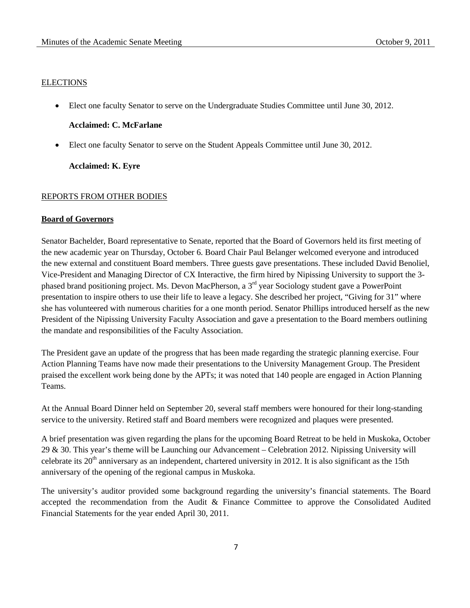#### **ELECTIONS**

• Elect one faculty Senator to serve on the Undergraduate Studies Committee until June 30, 2012.

## **Acclaimed: C. McFarlane**

• Elect one faculty Senator to serve on the Student Appeals Committee until June 30, 2012.

**Acclaimed: K. Eyre**

#### REPORTS FROM OTHER BODIES

### **Board of Governors**

Senator Bachelder, Board representative to Senate, reported that the Board of Governors held its first meeting of the new academic year on Thursday, October 6. Board Chair Paul Belanger welcomed everyone and introduced the new external and constituent Board members. Three guests gave presentations. These included David Benoliel, Vice-President and Managing Director of CX Interactive, the firm hired by Nipissing University to support the 3 phased brand positioning project. Ms. Devon MacPherson, a 3rd year Sociology student gave a PowerPoint presentation to inspire others to use their life to leave a legacy. She described her project, "Giving for 31" where she has volunteered with numerous charities for a one month period. Senator Phillips introduced herself as the new President of the Nipissing University Faculty Association and gave a presentation to the Board members outlining the mandate and responsibilities of the Faculty Association.

The President gave an update of the progress that has been made regarding the strategic planning exercise. Four Action Planning Teams have now made their presentations to the University Management Group. The President praised the excellent work being done by the APTs; it was noted that 140 people are engaged in Action Planning Teams.

At the Annual Board Dinner held on September 20, several staff members were honoured for their long-standing service to the university. Retired staff and Board members were recognized and plaques were presented.

A brief presentation was given regarding the plans for the upcoming Board Retreat to be held in Muskoka, October 29 & 30. This year's theme will be Launching our Advancement – Celebration 2012. Nipissing University will celebrate its  $20<sup>th</sup>$  anniversary as an independent, chartered university in 2012. It is also significant as the 15th anniversary of the opening of the regional campus in Muskoka.

The university's auditor provided some background regarding the university's financial statements. The Board accepted the recommendation from the Audit & Finance Committee to approve the Consolidated Audited Financial Statements for the year ended April 30, 2011.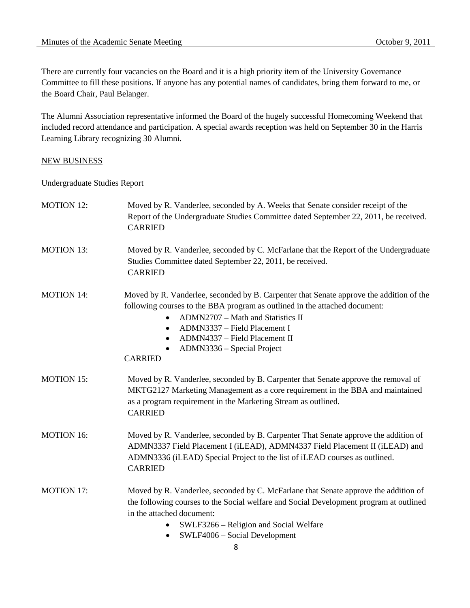There are currently four vacancies on the Board and it is a high priority item of the University Governance Committee to fill these positions. If anyone has any potential names of candidates, bring them forward to me, or the Board Chair, Paul Belanger.

The Alumni Association representative informed the Board of the hugely successful Homecoming Weekend that included record attendance and participation. A special awards reception was held on September 30 in the Harris Learning Library recognizing 30 Alumni.

## NEW BUSINESS

### Undergraduate Studies Report

| <b>MOTION 12:</b> | Moved by R. Vanderlee, seconded by A. Weeks that Senate consider receipt of the<br>Report of the Undergraduate Studies Committee dated September 22, 2011, be received.<br><b>CARRIED</b>                                                                                                                                                                  |
|-------------------|------------------------------------------------------------------------------------------------------------------------------------------------------------------------------------------------------------------------------------------------------------------------------------------------------------------------------------------------------------|
| <b>MOTION 13:</b> | Moved by R. Vanderlee, seconded by C. McFarlane that the Report of the Undergraduate<br>Studies Committee dated September 22, 2011, be received.<br><b>CARRIED</b>                                                                                                                                                                                         |
| <b>MOTION 14:</b> | Moved by R. Vanderlee, seconded by B. Carpenter that Senate approve the addition of the<br>following courses to the BBA program as outlined in the attached document:<br>ADMN2707 - Math and Statistics II<br>$\bullet$<br>ADMN3337 - Field Placement I<br>٠<br>ADMN4337 - Field Placement II<br>$\bullet$<br>ADMN3336 – Special Project<br><b>CARRIED</b> |
| <b>MOTION 15:</b> | Moved by R. Vanderlee, seconded by B. Carpenter that Senate approve the removal of<br>MKTG2127 Marketing Management as a core requirement in the BBA and maintained<br>as a program requirement in the Marketing Stream as outlined.<br><b>CARRIED</b>                                                                                                     |
| <b>MOTION 16:</b> | Moved by R. Vanderlee, seconded by B. Carpenter That Senate approve the addition of<br>ADMN3337 Field Placement I (iLEAD), ADMN4337 Field Placement II (iLEAD) and<br>ADMN3336 (iLEAD) Special Project to the list of iLEAD courses as outlined.<br><b>CARRIED</b>                                                                                         |
| <b>MOTION 17:</b> | Moved by R. Vanderlee, seconded by C. McFarlane that Senate approve the addition of<br>the following courses to the Social welfare and Social Development program at outlined<br>in the attached document:<br>SWLF3266 – Religion and Social Welfare<br>SWLF4006 - Social Development<br>٠                                                                 |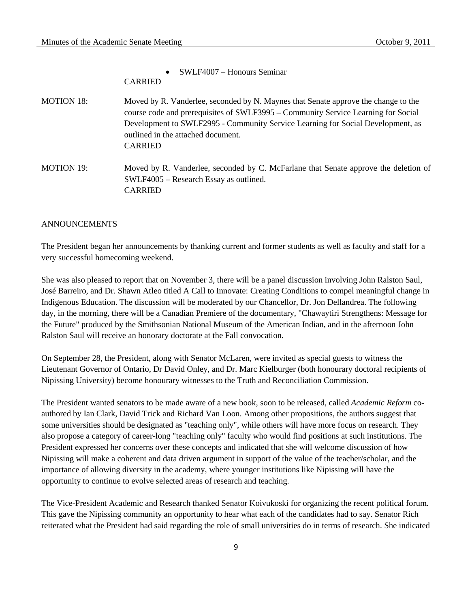• SWLF4007 – Honours Seminar CARRIED MOTION 18: Moved by R. Vanderlee, seconded by N. Maynes that Senate approve the change to the course code and prerequisites of SWLF3995 – Community Service Learning for Social Development to SWLF2995 - Community Service Learning for Social Development, as outlined in the attached document. CARRIED MOTION 19: Moved by R. Vanderlee, seconded by C. McFarlane that Senate approve the deletion of SWLF4005 – Research Essay as outlined. CARRIED

### ANNOUNCEMENTS

The President began her announcements by thanking current and former students as well as faculty and staff for a very successful homecoming weekend.

She was also pleased to report that on November 3, there will be a panel discussion involving John Ralston Saul, José Barreiro, and Dr. Shawn Atleo titled A Call to Innovate: Creating Conditions to compel meaningful change in Indigenous Education. The discussion will be moderated by our Chancellor, Dr. Jon Dellandrea. The following day, in the morning, there will be a Canadian Premiere of the documentary, "Chawaytiri Strengthens: Message for the Future" produced by the Smithsonian National Museum of the American Indian, and in the afternoon John Ralston Saul will receive an honorary doctorate at the Fall convocation.

On September 28, the President, along with Senator McLaren, were invited as special guests to witness the Lieutenant Governor of Ontario, Dr David Onley, and Dr. Marc Kielburger (both honourary doctoral recipients of Nipissing University) become honourary witnesses to the Truth and Reconciliation Commission.

The President wanted senators to be made aware of a new book, soon to be released, called *Academic Reform* coauthored by Ian Clark, David Trick and Richard Van Loon. Among other propositions, the authors suggest that some universities should be designated as "teaching only", while others will have more focus on research. They also propose a category of career-long "teaching only" faculty who would find positions at such institutions. The President expressed her concerns over these concepts and indicated that she will welcome discussion of how Nipissing will make a coherent and data driven argument in support of the value of the teacher/scholar, and the importance of allowing diversity in the academy, where younger institutions like Nipissing will have the opportunity to continue to evolve selected areas of research and teaching.

The Vice-President Academic and Research thanked Senator Koivukoski for organizing the recent political forum. This gave the Nipissing community an opportunity to hear what each of the candidates had to say. Senator Rich reiterated what the President had said regarding the role of small universities do in terms of research. She indicated